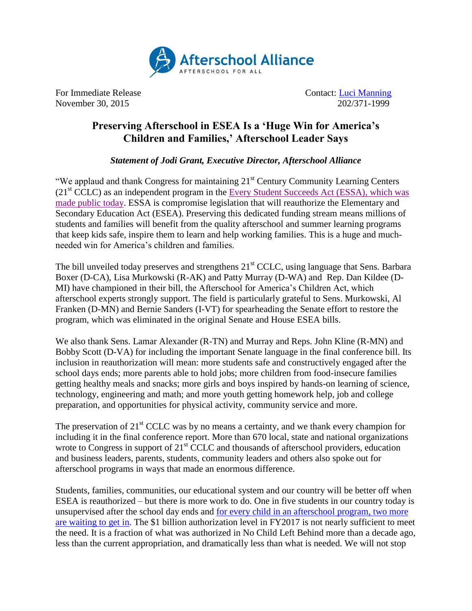

For Immediate Release **Contact:** [Luci Manning](mailto:luci@prsolutionsdc.com) November 30, 2015 202/371-1999

## **Preserving Afterschool in ESEA Is a 'Huge Win for America's Children and Families,' Afterschool Leader Says**

*Statement of Jodi Grant, Executive Director, Afterschool Alliance*

"We applaud and thank Congress for maintaining  $21<sup>st</sup>$  Century Community Learning Centers  $(21<sup>st</sup> CCLC)$  as an independent program in the [Every Student Succeeds Act \(ESSA\),](http://edworkforce.house.gov/news/documentsingle.aspx?DocumentID=399930) which was [made public today.](http://edworkforce.house.gov/news/documentsingle.aspx?DocumentID=399930) ESSA is compromise legislation that will reauthorize the Elementary and Secondary Education Act (ESEA). Preserving this dedicated funding stream means millions of students and families will benefit from the quality afterschool and summer learning programs that keep kids safe, inspire them to learn and help working families. This is a huge and muchneeded win for America's children and families.

The bill unveiled today preserves and strengthens 21<sup>st</sup> CCLC, using language that Sens. Barbara Boxer (D-CA), Lisa Murkowski (R-AK) and Patty Murray (D-WA) and Rep. Dan Kildee (D-MI) have championed in their bill, the Afterschool for America's Children Act, which afterschool experts strongly support. The field is particularly grateful to Sens. Murkowski, Al Franken (D-MN) and Bernie Sanders (I-VT) for spearheading the Senate effort to restore the program, which was eliminated in the original Senate and House ESEA bills.

We also thank Sens. Lamar Alexander (R-TN) and Murray and Reps. John Kline (R-MN) and Bobby Scott (D-VA) for including the important Senate language in the final conference bill. Its inclusion in reauthorization will mean: more students safe and constructively engaged after the school days ends; more parents able to hold jobs; more children from food-insecure families getting healthy meals and snacks; more girls and boys inspired by hands-on learning of science, technology, engineering and math; and more youth getting homework help, job and college preparation, and opportunities for physical activity, community service and more.

The preservation of  $21<sup>st</sup> CCLC$  was by no means a certainty, and we thank every champion for including it in the final conference report. More than 670 local, state and national organizations wrote to Congress in support of  $21<sup>st</sup>$  CCLC and thousands of afterschool providers, education and business leaders, parents, students, community leaders and others also spoke out for afterschool programs in ways that made an enormous difference.

Students, families, communities, our educational system and our country will be better off when ESEA is reauthorized – but there is more work to do. One in five students in our country today is unsupervised after the school day ends and [for every child in an afterschool program, two more](http://www.afterschoolalliance.org/AA3PM/)  [are waiting to get in.](http://www.afterschoolalliance.org/AA3PM/) The \$1 billion authorization level in FY2017 is not nearly sufficient to meet the need. It is a fraction of what was authorized in No Child Left Behind more than a decade ago, less than the current appropriation, and dramatically less than what is needed. We will not stop